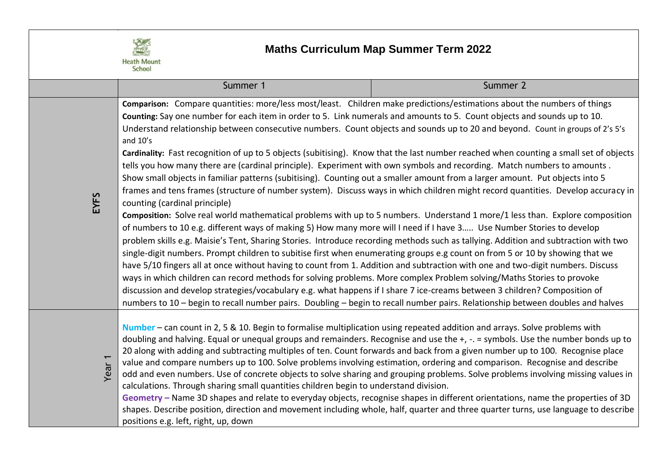

## **Maths Curriculum Map Summer Term 2022**

|                   | Summer 1                                                                                                                                                                                                                                                                                                                                                                                                                                                                                                                                                                                                                                                                                                                                                                                                                                                                                                                                                                                                                                                                     | Summer 2                                                                                                                                                                                                                                                                                                                                                                                                                                                                                                                                                                                                                                                                                                                                                                                                                                                                                                                                              |  |
|-------------------|------------------------------------------------------------------------------------------------------------------------------------------------------------------------------------------------------------------------------------------------------------------------------------------------------------------------------------------------------------------------------------------------------------------------------------------------------------------------------------------------------------------------------------------------------------------------------------------------------------------------------------------------------------------------------------------------------------------------------------------------------------------------------------------------------------------------------------------------------------------------------------------------------------------------------------------------------------------------------------------------------------------------------------------------------------------------------|-------------------------------------------------------------------------------------------------------------------------------------------------------------------------------------------------------------------------------------------------------------------------------------------------------------------------------------------------------------------------------------------------------------------------------------------------------------------------------------------------------------------------------------------------------------------------------------------------------------------------------------------------------------------------------------------------------------------------------------------------------------------------------------------------------------------------------------------------------------------------------------------------------------------------------------------------------|--|
| EYFS              | Comparison: Compare quantities: more/less most/least. Children make predictions/estimations about the numbers of things<br>Counting: Say one number for each item in order to 5. Link numerals and amounts to 5. Count objects and sounds up to 10.<br>and $10's$<br>tells you how many there are (cardinal principle). Experiment with own symbols and recording. Match numbers to amounts.<br>Show small objects in familiar patterns (subitising). Counting out a smaller amount from a larger amount. Put objects into 5<br>counting (cardinal principle)<br>of numbers to 10 e.g. different ways of making 5) How many more will I need if I have 3 Use Number Stories to develop<br>single-digit numbers. Prompt children to subitise first when enumerating groups e.g count on from 5 or 10 by showing that we<br>ways in which children can record methods for solving problems. More complex Problem solving/Maths Stories to provoke<br>discussion and develop strategies/vocabulary e.g. what happens if I share 7 ice-creams between 3 children? Composition of | Understand relationship between consecutive numbers. Count objects and sounds up to 20 and beyond. Count in groups of 2's 5's<br>Cardinality: Fast recognition of up to 5 objects (subitising). Know that the last number reached when counting a small set of objects<br>frames and tens frames (structure of number system). Discuss ways in which children might record quantities. Develop accuracy in<br>Composition: Solve real world mathematical problems with up to 5 numbers. Understand 1 more/1 less than. Explore composition<br>problem skills e.g. Maisie's Tent, Sharing Stories. Introduce recording methods such as tallying. Addition and subtraction with two<br>have 5/10 fingers all at once without having to count from 1. Addition and subtraction with one and two-digit numbers. Discuss<br>numbers to 10 - begin to recall number pairs. Doubling - begin to recall number pairs. Relationship between doubles and halves |  |
| Year <sub>1</sub> | Number - can count in 2, 5 & 10. Begin to formalise multiplication using repeated addition and arrays. Solve problems with<br>doubling and halving. Equal or unequal groups and remainders. Recognise and use the +, -. = symbols. Use the number bonds up to<br>20 along with adding and subtracting multiples of ten. Count forwards and back from a given number up to 100. Recognise place<br>value and compare numbers up to 100. Solve problems involving estimation, ordering and comparison. Recognise and describe<br>odd and even numbers. Use of concrete objects to solve sharing and grouping problems. Solve problems involving missing values in<br>calculations. Through sharing small quantities children begin to understand division.<br>Geometry - Name 3D shapes and relate to everyday objects, recognise shapes in different orientations, name the properties of 3D<br>shapes. Describe position, direction and movement including whole, half, quarter and three quarter turns, use language to describe                                            |                                                                                                                                                                                                                                                                                                                                                                                                                                                                                                                                                                                                                                                                                                                                                                                                                                                                                                                                                       |  |

positions e.g. left, right, up, down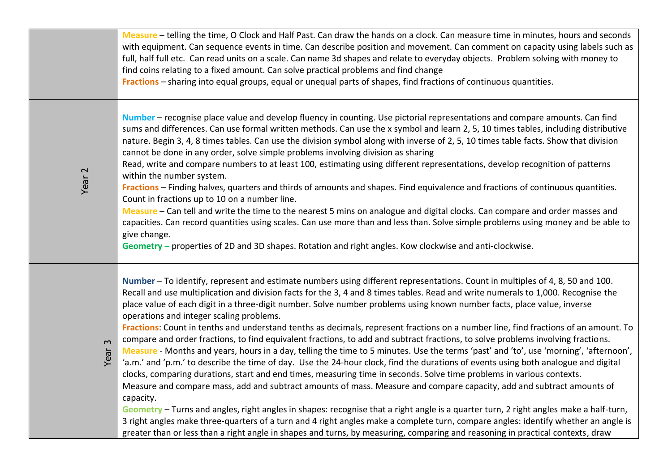|                | Measure - telling the time, O Clock and Half Past. Can draw the hands on a clock. Can measure time in minutes, hours and seconds<br>with equipment. Can sequence events in time. Can describe position and movement. Can comment on capacity using labels such as<br>full, half full etc. Can read units on a scale. Can name 3d shapes and relate to everyday objects. Problem solving with money to<br>find coins relating to a fixed amount. Can solve practical problems and find change<br>Fractions - sharing into equal groups, equal or unequal parts of shapes, find fractions of continuous quantities.                                                                                                                                                                                                                                                                                                                                                                                                                                                                                                                                                                                                                                                                                                                                                                                                                                                                                                                                 |
|----------------|---------------------------------------------------------------------------------------------------------------------------------------------------------------------------------------------------------------------------------------------------------------------------------------------------------------------------------------------------------------------------------------------------------------------------------------------------------------------------------------------------------------------------------------------------------------------------------------------------------------------------------------------------------------------------------------------------------------------------------------------------------------------------------------------------------------------------------------------------------------------------------------------------------------------------------------------------------------------------------------------------------------------------------------------------------------------------------------------------------------------------------------------------------------------------------------------------------------------------------------------------------------------------------------------------------------------------------------------------------------------------------------------------------------------------------------------------------------------------------------------------------------------------------------------------|
| Year 2         | Number - recognise place value and develop fluency in counting. Use pictorial representations and compare amounts. Can find<br>sums and differences. Can use formal written methods. Can use the x symbol and learn 2, 5, 10 times tables, including distributive<br>nature. Begin 3, 4, 8 times tables. Can use the division symbol along with inverse of 2, 5, 10 times table facts. Show that division<br>cannot be done in any order, solve simple problems involving division as sharing<br>Read, write and compare numbers to at least 100, estimating using different representations, develop recognition of patterns<br>within the number system.<br>Fractions - Finding halves, quarters and thirds of amounts and shapes. Find equivalence and fractions of continuous quantities.<br>Count in fractions up to 10 on a number line.<br>Measure - Can tell and write the time to the nearest 5 mins on analogue and digital clocks. Can compare and order masses and<br>capacities. Can record quantities using scales. Can use more than and less than. Solve simple problems using money and be able to<br>give change.<br>Geometry - properties of 2D and 3D shapes. Rotation and right angles. Kow clockwise and anti-clockwise.                                                                                                                                                                                                                                                                                                    |
| $\sim$<br>Year | Number - To identify, represent and estimate numbers using different representations. Count in multiples of 4, 8, 50 and 100.<br>Recall and use multiplication and division facts for the 3, 4 and 8 times tables. Read and write numerals to 1,000. Recognise the<br>place value of each digit in a three-digit number. Solve number problems using known number facts, place value, inverse<br>operations and integer scaling problems.<br>Fractions: Count in tenths and understand tenths as decimals, represent fractions on a number line, find fractions of an amount. To<br>compare and order fractions, to find equivalent fractions, to add and subtract fractions, to solve problems involving fractions.<br>Measure - Months and years, hours in a day, telling the time to 5 minutes. Use the terms 'past' and 'to', use 'morning', 'afternoon',<br>'a.m.' and 'p.m.' to describe the time of day. Use the 24-hour clock, find the durations of events using both analogue and digital<br>clocks, comparing durations, start and end times, measuring time in seconds. Solve time problems in various contexts.<br>Measure and compare mass, add and subtract amounts of mass. Measure and compare capacity, add and subtract amounts of<br>capacity.<br>Geometry - Turns and angles, right angles in shapes: recognise that a right angle is a quarter turn, 2 right angles make a half-turn,<br>3 right angles make three-quarters of a turn and 4 right angles make a complete turn, compare angles: identify whether an angle is |

greater than or less than a right angle in shapes and turns, by measuring, comparing and reasoning in practical contexts, draw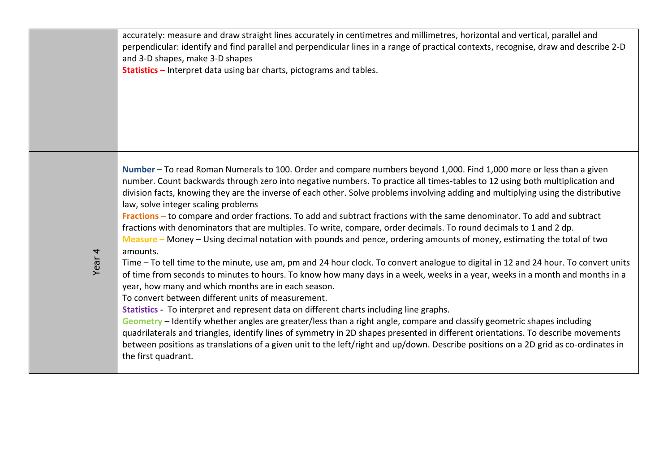accurately: measure and draw straight lines accurately in centimetres and millimetres, horizontal and vertical, parallel and perpendicular: identify and find parallel and perpendicular lines in a range of practical contexts, recognise, draw and describe 2-D and 3-D shapes, make 3-D shapes

**Statistics –** Interpret data using bar charts, pictograms and tables.

**Number** – To read Roman Numerals to 100. Order and compare numbers beyond 1,000. Find 1,000 more or less than a given number. Count backwards through zero into negative numbers. To practice all times-tables to 12 using both multiplication and division facts, knowing they are the inverse of each other. Solve problems involving adding and multiplying using the distributive law, solve integer scaling problems

**Fractions –** to compare and order fractions. To add and subtract fractions with the same denominator. To add and subtract fractions with denominators that are multiples. To write, compare, order decimals. To round decimals to 1 and 2 dp. **Measure –** Money – Using decimal notation with pounds and pence, ordering amounts of money, estimating the total of two amounts.

Time – To tell time to the minute, use am, pm and 24 hour clock. To convert analogue to digital in 12 and 24 hour. To convert units of time from seconds to minutes to hours. To know how many days in a week, weeks in a year, weeks in a month and months in a year, how many and which months are in each season.

To convert between different units of measurement.

**Statistics -** To interpret and represent data on different charts including line graphs.

**Geometry** – Identify whether angles are greater/less than a right angle, compare and classify geometric shapes including quadrilaterals and triangles, identify lines of symmetry in 2D shapes presented in different orientations. To describe movements between positions as translations of a given unit to the left/right and up/down. Describe positions on a 2D grid as co-ordinates in the first quadrant.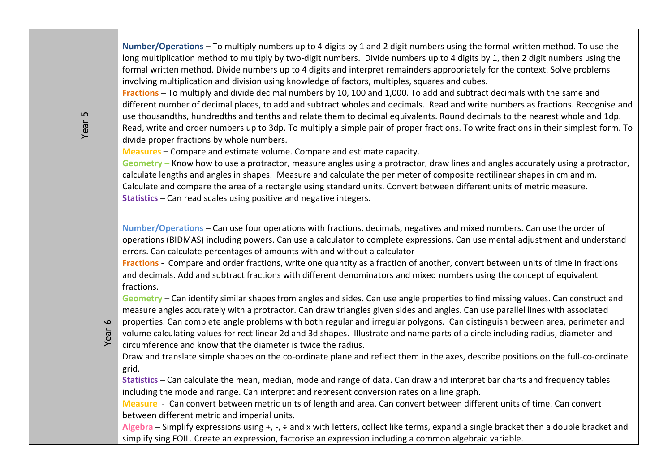**Number/Operations** – To multiply numbers up to 4 digits by 1 and 2 digit numbers using the formal written method. To use the long multiplication method to multiply by two-digit numbers. Divide numbers up to 4 digits by 1, then 2 digit numbers using the formal written method. Divide numbers up to 4 digits and interpret remainders appropriately for the context. Solve problems involving multiplication and division using knowledge of factors, multiples, squares and cubes.

**Fractions** – To multiply and divide decimal numbers by 10, 100 and 1,000. To add and subtract decimals with the same and different number of decimal places, to add and subtract wholes and decimals. Read and write numbers as fractions. Recognise and use thousandths, hundredths and tenths and relate them to decimal equivalents. Round decimals to the nearest whole and 1dp. Read, write and order numbers up to 3dp. To multiply a simple pair of proper fractions. To write fractions in their simplest form. To divide proper fractions by whole numbers.

**Measures** – Compare and estimate volume. Compare and estimate capacity.

**Geometry –** Know how to use a protractor, measure angles using a protractor, draw lines and angles accurately using a protractor, calculate lengths and angles in shapes. Measure and calculate the perimeter of composite rectilinear shapes in cm and m. Calculate and compare the area of a rectangle using standard units. Convert between different units of metric measure. **Statistics** – Can read scales using positive and negative integers.

**Number/Operations** – Can use four operations with fractions, decimals, negatives and mixed numbers. Can use the order of operations (BIDMAS) including powers. Can use a calculator to complete expressions. Can use mental adjustment and understand errors. Can calculate percentages of amounts with and without a calculator

**Fractions** - Compare and order fractions, write one quantity as a fraction of another, convert between units of time in fractions and decimals. Add and subtract fractions with different denominators and mixed numbers using the concept of equivalent fractions.

**Geometry** – Can identify similar shapes from angles and sides. Can use angle properties to find missing values. Can construct and measure angles accurately with a protractor. Can draw triangles given sides and angles. Can use parallel lines with associated

- properties. Can complete angle problems with both regular and irregular polygons. Can distinguish between area, perimeter and
- volume calculating values for rectilinear 2d and 3d shapes. Illustrate and name parts of a circle including radius, diameter and circumference and know that the diameter is twice the radius.

Draw and translate simple shapes on the co-ordinate plane and reflect them in the axes, describe positions on the full-co-ordinate grid.

**Statistics** – Can calculate the mean, median, mode and range of data. Can draw and interpret bar charts and frequency tables including the mode and range. Can interpret and represent conversion rates on a line graph.

**Measure** - Can convert between metric units of length and area. Can convert between different units of time. Can convert between different metric and imperial units.

**Algebra** – Simplify expressions using +, -, ÷ and x with letters, collect like terms, expand a single bracket then a double bracket and simplify sing FOIL. Create an expression, factorise an expression including a common algebraic variable.

Year 6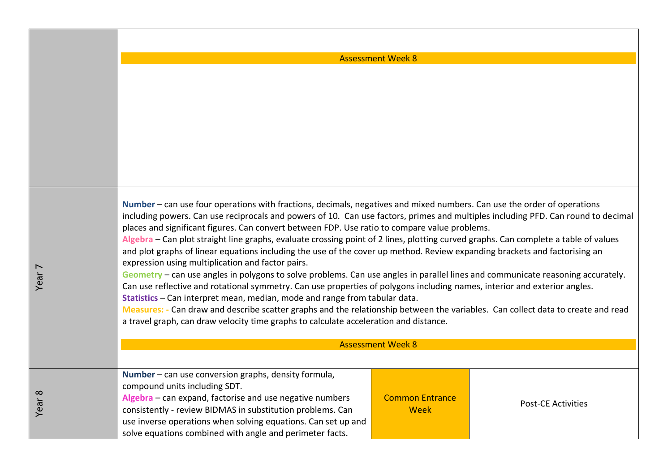Assessment Week 8

**Number** – can use four operations with fractions, decimals, negatives and mixed numbers. Can use the order of operations including powers. Can use reciprocals and powers of 10. Can use factors, primes and multiples including PFD. Can round to decimal places and significant figures. Can convert between FDP. Use ratio to compare value problems. **Algebra** – Can plot straight line graphs, evaluate crossing point of 2 lines, plotting curved graphs. Can complete a table of values and plot graphs of linear equations including the use of the cover up method. Review expanding brackets and factorising an expression using multiplication and factor pairs. **Geometry** – can use angles in polygons to solve problems. Can use angles in parallel lines and communicate reasoning accurately. Can use reflective and rotational symmetry. Can use properties of polygons including names, interior and exterior angles. **Statistics** – Can interpret mean, median, mode and range from tabular data. **Measures: -** Can draw and describe scatter graphs and the relationship between the variables. Can collect data to create and read a travel graph, can draw velocity time graphs to calculate acceleration and distance. Assessment Week 8 **Number** – can use conversion graphs, density formula, compound units including SDT. **Algebra** – can expand, factorise and use negative numbers consistently - review BIDMAS in substitution problems. Can use inverse operations when solving equations. Can set up and solve equations combined with angle and perimeter facts. Common Entrance Week Post-CE Activities

Year<sup>-</sup>

Year 8